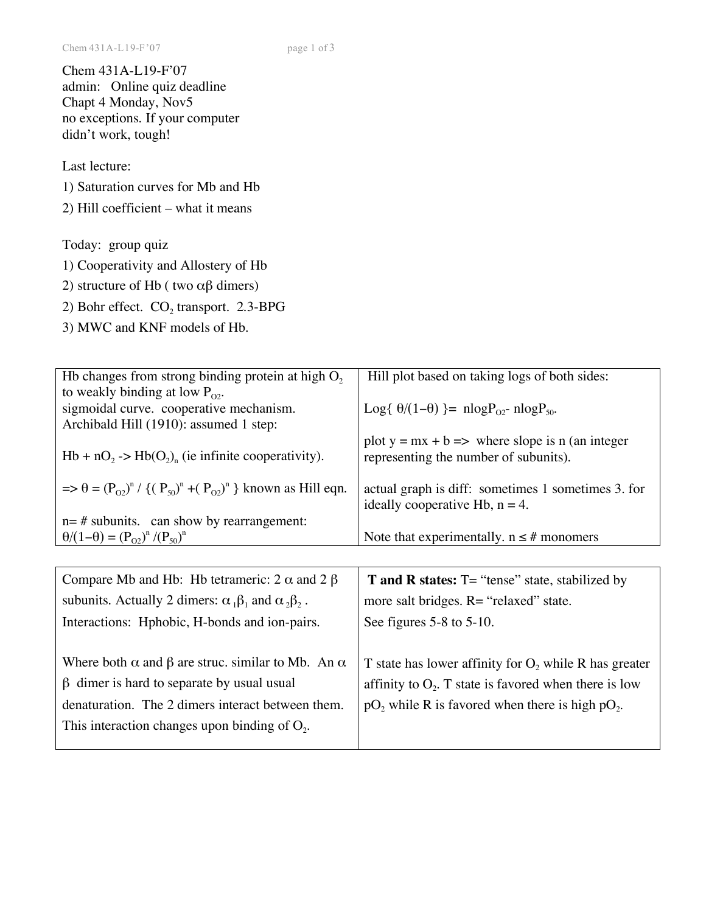Chem 431A-L19-F'07 admin: Online quiz deadline Chapt 4 Monday, Nov5 no exceptions. If your computer didn't work, tough!

Last lecture:

1) Saturation curves for Mb and Hb

2) Hill coefficient – what it means

Today: group quiz

- 1) Cooperativity and Allostery of Hb
- 2) structure of Hb ( two  $\alpha\beta$  dimers)
- 2) Bohr effect.  $CO<sub>2</sub>$  transport. 2.3-BPG
- 3) MWC and KNF models of Hb.

| Hb changes from strong binding protein at high $O2$                                | Hill plot based on taking logs of both sides:                                                    |
|------------------------------------------------------------------------------------|--------------------------------------------------------------------------------------------------|
| to weakly binding at low $P_{02}$ .                                                |                                                                                                  |
| sigmoidal curve. cooperative mechanism.                                            | Log{ $\theta/(1-\theta)$ }= nlogP <sub>02</sub> - nlogP <sub>50</sub> .                          |
| Archibald Hill (1910): assumed 1 step:                                             |                                                                                                  |
| $Hb + nO_2$ -> $Hb(O_2)$ , (ie infinite cooperativity).                            | plot $y = mx + b \implies$ where slope is n (an integer<br>representing the number of subunits). |
| $\Rightarrow \theta = (P_{02})^n / \{(P_{50})^n + (P_{02})^n\}$ known as Hill eqn. | actual graph is diff: sometimes 1 sometimes 3. for<br>ideally cooperative Hb, $n = 4$ .          |
| $n = #$ subunits. can show by rearrangement:                                       |                                                                                                  |
| $\theta/(1-\theta) = (P_{02})^n/(P_{50})^n$                                        | Note that experimentally. $n \leq \text{\#}$ monomers                                            |
|                                                                                    |                                                                                                  |
|                                                                                    |                                                                                                  |
| Compare Mb and Hb: Hb tetrameric: $2 \alpha$ and $2 \beta$                         | <b>T</b> and <b>R</b> states: $T =$ "tense" state, stabilized by                                 |
| subunits. Actually 2 dimers: $\alpha_1\beta_1$ and $\alpha_2\beta_2$ .             | more salt bridges. R= "relaxed" state.                                                           |
| Interactions: Hphobic, H-bonds and ion-pairs.                                      | See figures $5-8$ to $5-10$ .                                                                    |
|                                                                                    |                                                                                                  |
| Where both $\alpha$ and $\beta$ are struc. similar to Mb. An $\alpha$              | T state has lower affinity for $O_2$ while R has greater                                         |
| $\beta$ dimer is hard to separate by usual usual                                   | affinity to $O_2$ . T state is favored when there is low                                         |
| denaturation. The 2 dimers interact between them.                                  |                                                                                                  |
|                                                                                    | $pO_2$ while R is favored when there is high $pO_2$ .                                            |
| This interaction changes upon binding of $O2$ .                                    |                                                                                                  |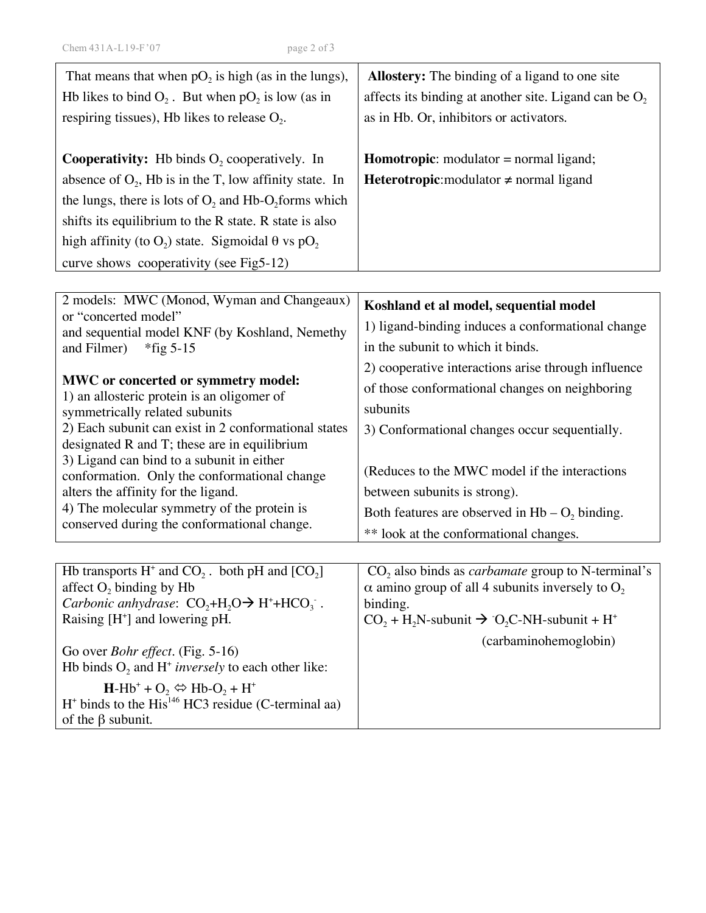| That means that when $pO_2$ is high (as in the lungs),                                                           | <b>Allostery:</b> The binding of a ligand to one site                               |
|------------------------------------------------------------------------------------------------------------------|-------------------------------------------------------------------------------------|
| Hb likes to bind $O_2$ . But when $pO_2$ is low (as in                                                           | affects its binding at another site. Ligand can be $O_2$                            |
| respiring tissues), Hb likes to release $O_2$ .                                                                  | as in Hb. Or, inhibitors or activators.                                             |
|                                                                                                                  |                                                                                     |
| <b>Cooperativity:</b> Hb binds $O_2$ cooperatively. In                                                           | <b>Homotropic:</b> modulator $=$ normal ligand;                                     |
| absence of $O_2$ , Hb is in the T, low affinity state. In                                                        | <b>Heterotropic:</b> modulator $\neq$ normal ligand                                 |
| the lungs, there is lots of $O_2$ and Hb- $O_2$ forms which                                                      |                                                                                     |
| shifts its equilibrium to the R state. R state is also                                                           |                                                                                     |
| high affinity (to $O_2$ ) state. Sigmoidal $\theta$ vs p $O_2$                                                   |                                                                                     |
| curve shows cooperativity (see Fig5-12)                                                                          |                                                                                     |
|                                                                                                                  |                                                                                     |
| 2 models: MWC (Monod, Wyman and Changeaux)                                                                       | Koshland et al model, sequential model                                              |
| or "concerted model"<br>and sequential model KNF (by Koshland, Nemethy                                           | 1) ligand-binding induces a conformational change                                   |
| and Filmer)<br>$*$ fig 5-15                                                                                      | in the subunit to which it binds.                                                   |
|                                                                                                                  | 2) cooperative interactions arise through influence                                 |
| MWC or concerted or symmetry model:<br>1) an allosteric protein is an oligomer of                                | of those conformational changes on neighboring                                      |
| symmetrically related subunits                                                                                   | subunits                                                                            |
| 2) Each subunit can exist in 2 conformational states                                                             | 3) Conformational changes occur sequentially.                                       |
| designated R and T; these are in equilibrium                                                                     |                                                                                     |
| 3) Ligand can bind to a subunit in either<br>conformation. Only the conformational change                        | (Reduces to the MWC model if the interactions                                       |
| alters the affinity for the ligand.                                                                              | between subunits is strong).                                                        |
| 4) The molecular symmetry of the protein is                                                                      | Both features are observed in $Hb - O_2$ binding.                                   |
| conserved during the conformational change.                                                                      | ** look at the conformational changes.                                              |
|                                                                                                                  |                                                                                     |
| Hb transports $H^+$ and $CO_2$ . both pH and $[CO_2]$                                                            | $CO2$ also binds as <i>carbamate</i> group to N-terminal's                          |
| affect O <sub>2</sub> binding by Hb                                                                              | $\alpha$ amino group of all 4 subunits inversely to $O_2$                           |
| <i>Carbonic anhydrase:</i> $CO_2+H_2O \rightarrow H^+ + HCO_3$ .<br>Raising $[H^+]$ and lowering pH.             | binding.<br>$CO_2 + H_2N$ -subunit $\rightarrow CO_2C$ -NH-subunit + H <sup>+</sup> |
|                                                                                                                  | (carbaminohemoglobin)                                                               |
| Go over <i>Bohr effect</i> . (Fig. 5-16)                                                                         |                                                                                     |
| Hb binds $O_2$ and H <sup>+</sup> inversely to each other like:                                                  |                                                                                     |
| $H-Hb^+ + O_2 \Leftrightarrow Hb-O_2 + H^+$<br>$H^*$ binds to the His <sup>146</sup> HC3 residue (C-terminal aa) |                                                                                     |
| of the $\beta$ subunit.                                                                                          |                                                                                     |